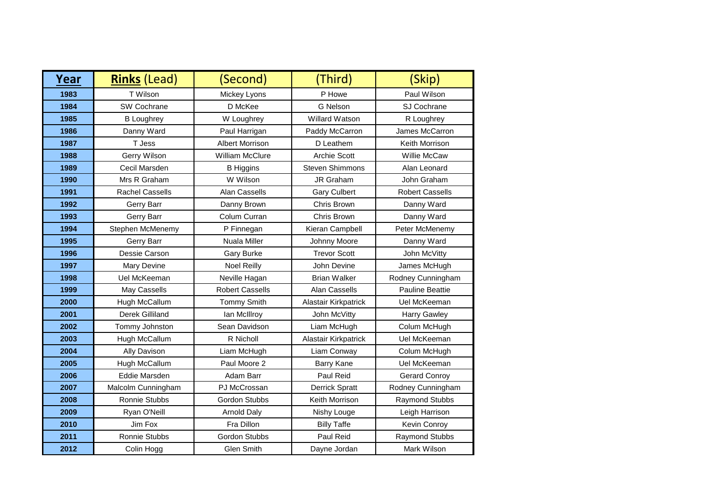| Year | <b>Rinks</b> (Lead)    | (Second)               | (Third)                | (Skip)                 |
|------|------------------------|------------------------|------------------------|------------------------|
| 1983 | T Wilson               | Mickey Lyons           | P Howe                 | Paul Wilson            |
| 1984 | SW Cochrane            | D McKee                | <b>G</b> Nelson        | SJ Cochrane            |
| 1985 | <b>B</b> Loughrey      | W Loughrey             | <b>Willard Watson</b>  | R Loughrey             |
| 1986 | Danny Ward             | Paul Harrigan          | Paddy McCarron         | James McCarron         |
| 1987 | T Jess                 | <b>Albert Morrison</b> | D Leathem              | Keith Morrison         |
| 1988 | Gerry Wilson           | William McClure        | <b>Archie Scott</b>    | Willie McCaw           |
| 1989 | Cecil Marsden          | <b>B</b> Higgins       | <b>Steven Shimmons</b> | Alan Leonard           |
| 1990 | Mrs R Graham           | W Wilson               | JR Graham              | John Graham            |
| 1991 | <b>Rachel Cassells</b> | Alan Cassells          | <b>Gary Culbert</b>    | <b>Robert Cassells</b> |
| 1992 | Gerry Barr             | Danny Brown            | Chris Brown            | Danny Ward             |
| 1993 | Gerry Barr             | Colum Curran           | Chris Brown            | Danny Ward             |
| 1994 | Stephen McMenemy       | P Finnegan             | Kieran Campbell        | Peter McMenemy         |
| 1995 | Gerry Barr             | Nuala Miller           | Johnny Moore           | Danny Ward             |
| 1996 | Dessie Carson          | Gary Burke             | <b>Trevor Scott</b>    | John McVitty           |
| 1997 | Mary Devine            | <b>Noel Reilly</b>     | John Devine            | James McHugh           |
| 1998 | Uel McKeeman           | Neville Hagan          | <b>Brian Walker</b>    | Rodney Cunningham      |
| 1999 | May Cassells           | <b>Robert Cassells</b> | Alan Cassells          | <b>Pauline Beattie</b> |
| 2000 | Hugh McCallum          | <b>Tommy Smith</b>     | Alastair Kirkpatrick   | Uel McKeeman           |
| 2001 | Derek Gilliland        | lan McIllroy           | John McVitty           | <b>Harry Gawley</b>    |
| 2002 | Tommy Johnston         | Sean Davidson          | Liam McHugh            | Colum McHugh           |
| 2003 | Hugh McCallum          | R Nicholl              | Alastair Kirkpatrick   | Uel McKeeman           |
| 2004 | Ally Davison           | Liam McHugh            | Liam Conway            | Colum McHugh           |
| 2005 | Hugh McCallum          | Paul Moore 2           | <b>Barry Kane</b>      | Uel McKeeman           |
| 2006 | Eddie Marsden          | Adam Barr              | Paul Reid              | <b>Gerard Conroy</b>   |
| 2007 | Malcolm Cunningham     | PJ McCrossan           | <b>Derrick Spratt</b>  | Rodney Cunningham      |
| 2008 | Ronnie Stubbs          | Gordon Stubbs          | Keith Morrison         | Raymond Stubbs         |
| 2009 | Ryan O'Neill           | <b>Arnold Daly</b>     | Nishy Louge            | Leigh Harrison         |
| 2010 | Jim Fox                | Fra Dillon             | <b>Billy Taffe</b>     | Kevin Conroy           |
| 2011 | Ronnie Stubbs          | Gordon Stubbs          | Paul Reid              | Raymond Stubbs         |
| 2012 | Colin Hogg             | <b>Glen Smith</b>      | Dayne Jordan           | Mark Wilson            |